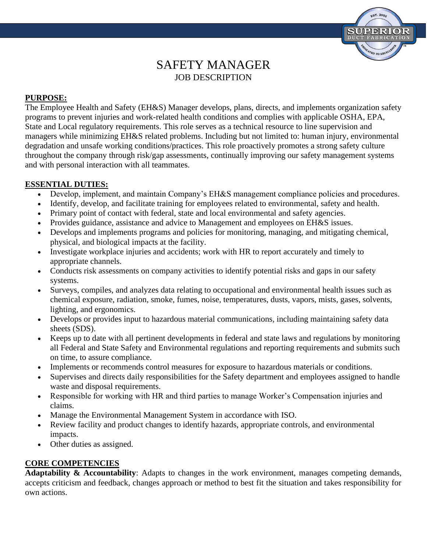

# SAFETY MANAGER JOB DESCRIPTION

# **PURPOSE:**

The Employee Health and Safety (EH&S) Manager develops, plans, directs, and implements organization safety programs to prevent injuries and work-related health conditions and complies with applicable OSHA, EPA, State and Local regulatory requirements. This role serves as a technical resource to line supervision and managers while minimizing EH&S related problems. Including but not limited to: human injury, environmental degradation and unsafe working conditions/practices. This role proactively promotes a strong safety culture throughout the company through risk/gap assessments, continually improving our safety management systems and with personal interaction with all teammates.

# **ESSENTIAL DUTIES:**

- Develop, implement, and maintain Company's EH&S management compliance policies and procedures.
- Identify, develop, and facilitate training for employees related to environmental, safety and health.
- Primary point of contact with federal, state and local environmental and safety agencies.
- Provides guidance, assistance and advice to Management and employees on EH&S issues.
- Develops and implements programs and policies for monitoring, managing, and mitigating chemical, physical, and biological impacts at the facility.
- Investigate workplace injuries and accidents; work with HR to report accurately and timely to appropriate channels.
- Conducts risk assessments on company activities to identify potential risks and gaps in our safety systems.
- Surveys, compiles, and analyzes data relating to occupational and environmental health issues such as chemical exposure, radiation, smoke, fumes, noise, temperatures, dusts, vapors, mists, gases, solvents, lighting, and ergonomics.
- Develops or provides input to hazardous material communications, including maintaining safety data sheets (SDS).
- Keeps up to date with all pertinent developments in federal and state laws and regulations by monitoring all Federal and State Safety and Environmental regulations and reporting requirements and submits such on time, to assure compliance.
- Implements or recommends control measures for exposure to hazardous materials or conditions.
- Supervises and directs daily responsibilities for the Safety department and employees assigned to handle waste and disposal requirements.
- Responsible for working with HR and third parties to manage Worker's Compensation injuries and claims.
- Manage the Environmental Management System in accordance with ISO.
- Review facility and product changes to identify hazards, appropriate controls, and environmental impacts.
- Other duties as assigned.

## **CORE COMPETENCIES**

Adaptability & Accountability: Adapts to changes in the work environment, manages competing demands, accepts criticism and feedback, changes approach or method to best fit the situation and takes responsibility for own actions.